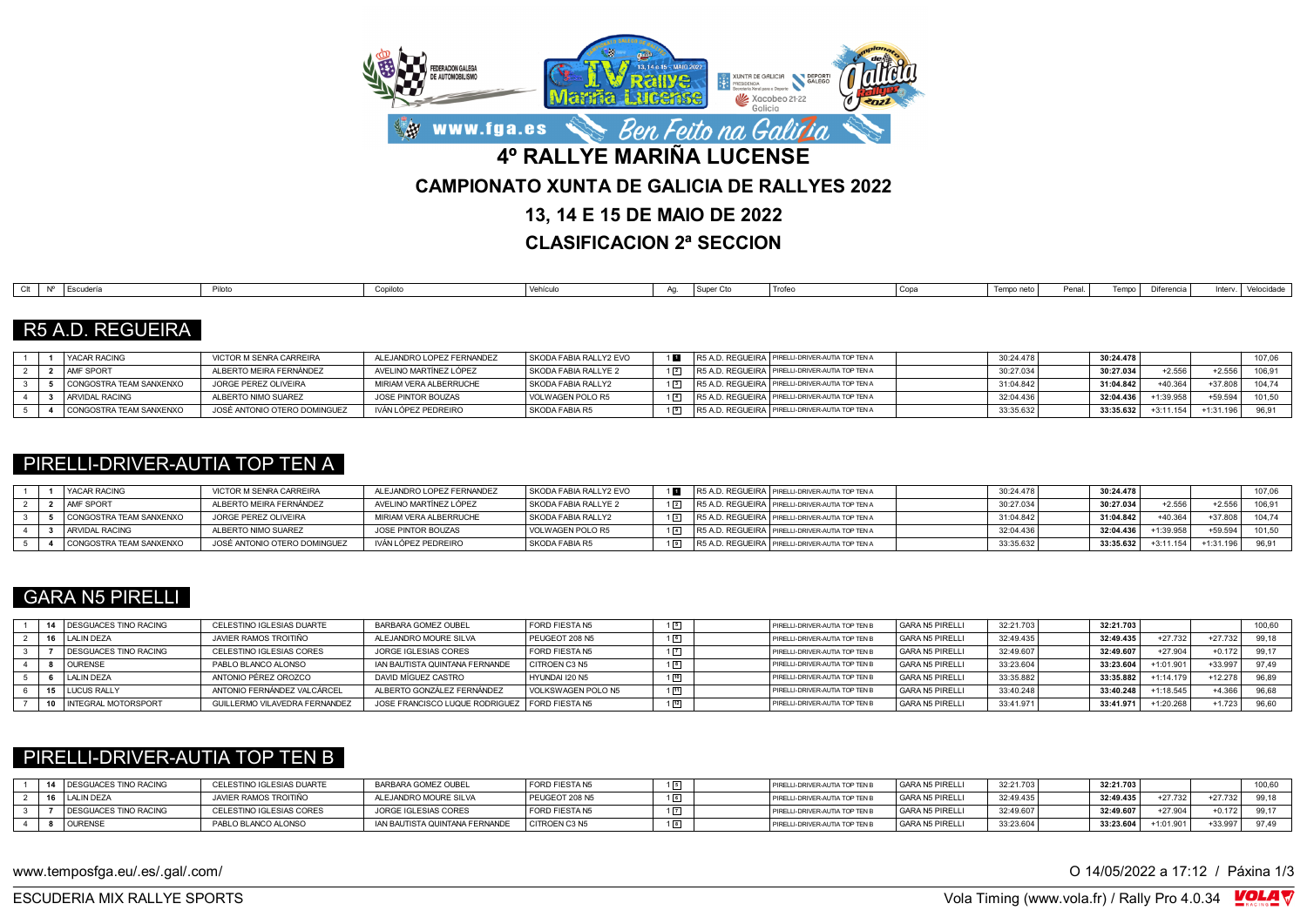

**CLASIFICACION 2ª SECCION**

| $\bigcap_{i=1}^{n}$<br>l Escuderí:<br>Luuuu | Conilot:<br>oupliu. | $\Delta$ for the function<br>vernoare | . . | Super C <sup>+</sup> | ' Trofeo<br>$\cdots$ | Copa | Tempo neto | Penal | Diferente d | د د ۱۰۰ | الماستماسات<br>velocidad |
|---------------------------------------------|---------------------|---------------------------------------|-----|----------------------|----------------------|------|------------|-------|-------------|---------|--------------------------|

# R5 A.D. REGUEIRA

|  | <b>YACAR RACING</b>     | VICTOR M SENRA CARREIRA      | ALEJANDRO LOPEZ FERNANDEZ | SKODA FABIA RALLY2 EVO | R5 A.D. REGUEIRA PIRELLI-DRIVER-AUTIA TOP TEN A | 30:24.478 | 30:24.478 |                      | 107,06   |
|--|-------------------------|------------------------------|---------------------------|------------------------|-------------------------------------------------|-----------|-----------|----------------------|----------|
|  | <b>AMF SPORT</b>        | ALBERTO MEIRA FERNÁNDEZ      | AVELINO MARTÍNEZ LÓPEZ    | SKODA FABIA RALLYE 2   | R5 A.D. REGUEIRA PIRELLI-DRIVER-AUTIA TOP TEN A | 30:27.034 | 30:27.034 | $+2.556$<br>$+2.556$ |          |
|  | CONGOSTRA TEAM SANXENXO | JORGE PEREZ OLIVEIRA         | MIRIAM VERA ALBERRUCHE    | SKODA FABIA RALLY2     | R5 A.D. REGUEIRA PIRELLI-DRIVER-AUTIA TOP TEN A | 31:04.842 | 31:04.842 | $+37.8$<br>$+40.364$ | $10A 7A$ |
|  | ARVIDAL RACING          | ALBERTO NIMO SUAREZ          | JOSE PINTOR BOUZAS        | VOLWAGEN POLO R5       | R5 A.D. REGUEIRA PIRELLI-DRIVER-AUTIA TOP TEN A | 32:04.436 | 32:04.436 | +59.594<br>+1:39.958 | 101,50   |
|  | CONGOSTRA TEAM SANXENXO | JOSÉ ANTONIO OTERO DOMINGUEZ | IVÁN LÓPEZ PEDREIRO       | SKODA FABIA R5         | R5 A.D. REGUEIRA PIRELLI-DRIVER-AUTIA TOP TEN A | 33:35.632 | 33:35.632 | +1:31.196            |          |

#### PIRELLI-DRIVER-AUTIA TOP TEN A

|  | <b>YACAR RACING</b>     | VICTOR M SENRA CARREIRA      | ALEJANDRO LOPEZ FERNANDEZ | SKODA FABIA RALLY2 EVO |  | R5 A.D. REGUEIRA PIRELLI-DRIVER-AUTIA TOP TEN A   | 30:24.478 | 30:24.478 |          |           | 107.06 |
|--|-------------------------|------------------------------|---------------------------|------------------------|--|---------------------------------------------------|-----------|-----------|----------|-----------|--------|
|  | <b>AMF SPORT</b>        | ALBERTO MEIRA FERNÁNDEZ      | AVELINO MARTÍNEZ LÓPEZ    | SKODA FABIA RALLYE 2   |  | R5 A.D. REGUEIRA PIRELLI-DRIVER-AUTIA TOP TEN A   | 30:27.034 | 30:27.034 | $+2.556$ | -2.55     | 106.9  |
|  | CONGOSTRA TEAM SANXENXO | JORGE PEREZ OLIVEIRA         | MIRIAM VERA ALBERRUCHE    | SKODA FABIA RALLY2     |  | R5 A.D. REGUEIRA   PIRELLI-DRIVER-AUTIA TOP TEN A | 31:04.842 | 31:04.842 | +40.364  | $+37.80$  | 104.74 |
|  | <b>ARVIDAL RACING</b>   | ALBERTO NIMO SUAREZ          | JOSE PINTOR BOUZAS        | VOLWAGEN POLO R5       |  | R5 A.D. REGUEIRA   PIRELLI-DRIVER-AUTIA TOP TEN A | 32:04.436 | 32:04.436 | 1:39.958 | $-59.594$ | 101,50 |
|  | CONGOSTRA TEAM SANXENXO | JOSÉ ANTONIO OTERO DOMINGUEZ | IVÁN LÓPEZ PEDREIRO       | SKODA FABIA R5         |  | R5 A.D. REGUEIRA   PIRELLI-DRIVER-AUTIA TOP TEN A | 33:35.632 | 33:35.632 | 3:11.154 |           |        |

# GARA N5 PIRELLI

|  | 14 DESGUACES TINO RACING | CELESTINO IGLESIAS DUARTE     | BARBARA GOMEZ OUBEL                             | <b>FORD FIESTA N5</b> |    | PIRELLI-DRIVER-AUTIA TOP TEN B | <b>GARA N5 PIRELLI</b> | 32:21.703 | 32:21.703 |             |           | 100,60 |
|--|--------------------------|-------------------------------|-------------------------------------------------|-----------------------|----|--------------------------------|------------------------|-----------|-----------|-------------|-----------|--------|
|  | 16 LALIN DEZA            | JAVIER RAMOS TROITIÑO         | ALEJANDRO MOURE SILVA                           | PEUGEOT 208 N5        |    | PIRELLI-DRIVER-AUTIA TOP TEN B | <b>GARA N5 PIRELLI</b> | 32:49.435 | 32:49.435 | $+27.732$   | +27.732   | 99.18  |
|  | DESGUACES TINO RACING    | CELESTINO IGLESIAS CORES      | JORGE IGLESIAS CORES                            | <b>FORD FIESTA N5</b> |    | PIRELLI-DRIVER-AUTIA TOP TEN B | <b>GARA N5 PIRELLI</b> | 32:49.607 | 32:49.607 | $+27.904$   | $+0.172$  | 99.17  |
|  | <b>OURENSE</b>           | PABLO BLANCO ALONSO           | IAN BAUTISTA QUINTANA FERNANDE                  | <b>CITROEN C3 N5</b>  |    | PIRELLI-DRIVER-AUTIA TOP TEN B | <b>GARA N5 PIRELLI</b> | 33:23.604 | 33:23.604 | $+1:01.90$  | $+33.95$  | 97.49  |
|  | <b>LALIN DEZA</b>        | ANTONIO PÉREZ OROZCO          | DAVID MÍGUEZ CASTRO                             | HYUNDAI 120 N5        |    | PIRELLI-DRIVER-AUTIA TOP TEN B | <b>GARA N5 PIRELLI</b> | 33:35.882 | 33:35.882 | $+1:14.179$ | $+12.278$ | 96.89  |
|  | 15 LUCUS RALLY           | ANTONIO FERNÁNDEZ VALCÁRCEL   | ALBERTO GONZÁLEZ FERNÁNDEZ                      | VOLKSWAGEN POLO N5    | 1回 | PIRELLI-DRIVER-AUTIA TOP TEN B | <b>GARA N5 PIRELLI</b> | 33:40.248 | 33:40.248 | $+1:18.545$ | $+4.36$   | 96.68  |
|  | 10 INTEGRAL MOTORSPORT   | GUILLERMO VILAVEDRA FERNANDEZ | JOSE FRANCISCO LUQUE RODRIGUEZ   FORD FIESTA N5 |                       |    | PIRELLI-DRIVER-AUTIA TOP TEN E | <b>GARA N5 PIRELLI</b> | 33:41.971 | 33:41.971 | +1:20.268   | $+1.723$  | 96,60  |

#### PIRELLI-DRIVER-AUTIA TOP TEN B

| DESGUACES TINO RACING        | CELESTINO IGLESIAS DUARTE | BARBARA GOMEZ OUBEL            | FORD FIESTA N5 | PIRELLI-DRIVER-AUTIA TOP TEN B | GARA N5 PIRELLI | 32:21.703 | 32:21.703 |            |           | 100,60 |
|------------------------------|---------------------------|--------------------------------|----------------|--------------------------------|-----------------|-----------|-----------|------------|-----------|--------|
| <b>LALIN DEZA</b>            | JAVIER RAMOS TROITIÑO     | ALEJANDRO MOURE SILVA          | PEUGEOT 208 N5 | PIRELLI-DRIVER-AUTIA TOP TEN E | GARA N5 PIRELLI | 32:49.435 | 32:49.435 | $+27.732$  | $+27.732$ | 99,18  |
| <b>DESGUACES TINO RACING</b> | CELESTINO IGLESIAS CORES  | JORGE IGLESIAS CORES           | FORD FIESTA N5 | PIRELLI-DRIVER-AUTIA TOP TEN L | GARA N5 PIRELLI | 32:49.607 | 32:49.607 | $+27.904$  | +0.172    | 00.47  |
| OURENSE                      | PABLO BLANCO ALONSO       | IAN BAUTISTA QUINTANA FERNANDE | CITROEN C3 N5  | PIRELLI-DRIVER-AUTIA TOP TEN I | GARA N5 PIRELLI | 33:23.604 | 33:23.604 | $+1:01.9o$ | $+33.95$  | 07.40  |

www.temposfga.eu/.es/.gal/.com/ **O 14/05/2022 a 17:12** / Páxina 1/3

VolaSoftControlPdf ESCUDERIA MIX RALLYE SPORTS Vola Timing (www.vola.fr) / Rally Pro 4.0.34

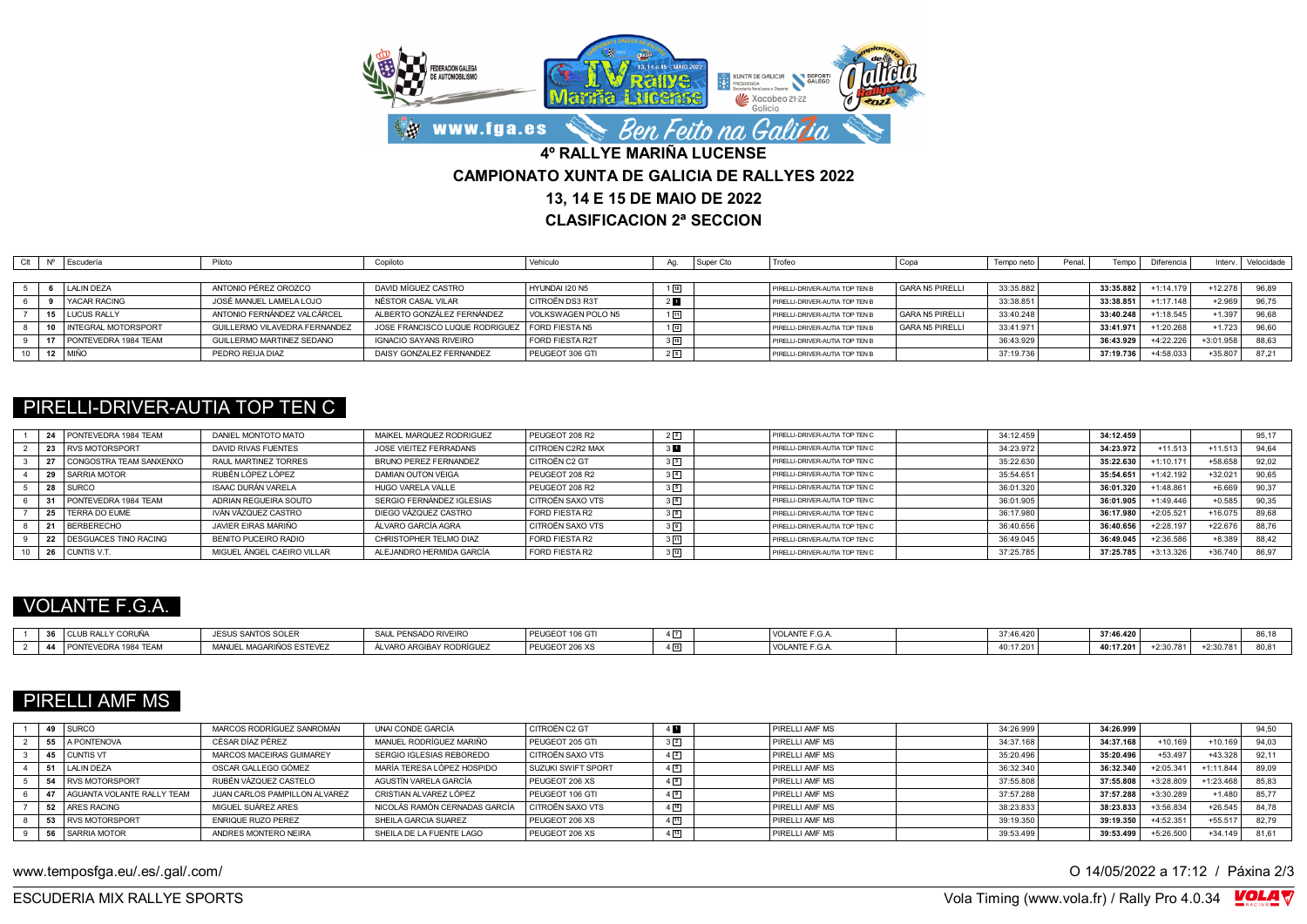

**CLASIFICACION 2ª SECCION**

|     | Escudería                  | Piloto                        | Copiloto                                        | Vehículo           | Aa.          | Super Cto | Trofec                         | Copa                   | Tempo neto | Penal. | Tempo     | Diferencia  | Interv      | Velocidade |
|-----|----------------------------|-------------------------------|-------------------------------------------------|--------------------|--------------|-----------|--------------------------------|------------------------|------------|--------|-----------|-------------|-------------|------------|
|     |                            |                               |                                                 |                    |              |           |                                |                        |            |        |           |             |             |            |
|     | <b>LALIN DEZA</b>          | ANTONIO PÉREZ OROZCO          | DAVID MÍGUEZ CASTRO                             | HYUNDAI 120 N5     | 110          |           | PIRELLI-DRIVER-AUTIA TOP TEN B | <b>GARA N5 PIRELLI</b> | 33:35.882  |        | 33:35.882 | $-1:14.179$ | $+12.278$   | 96.89      |
|     | <b>YACAR RACING</b>        | JOSÉ MANUEL LAMELA LOJO       | NÉSTOR CASAL VILAR                              | CITROËN DS3 R3T    | $2$ <b>D</b> |           | PIRELLI-DRIVER-AUTIA TOP TEN B |                        | 33:38.851  |        | 33:38.851 | $-1:17.148$ | $+2.969$    |            |
|     | 15 LUCUS RALLY             | ANTONIO FERNÁNDEZ VALCÁRCEL   | ALBERTO GONZÁLEZ FERNÁNDEZ                      | VOLKSWAGEN POLO N5 | $1\sqrt{11}$ |           | PIRELLI-DRIVER-AUTIA TOP TEN B | <b>GARA N5 PIRELLI</b> | 33:40.248  |        | 33:40.248 | 1:18.545    | $+1.397$    | 96.68      |
| 10. | <b>INTEGRAL MOTORSPORT</b> | GUILLERMO VILAVEDRA FERNANDEZ | JOSE FRANCISCO LUQUE RODRIGUEZ   FORD FIESTA N5 |                    | $1\sqrt{12}$ |           | PIRELLI-DRIVER-AUTIA TOP TEN B | <b>GARA N5 PIRELLI</b> | 33:41.971  |        | 33:41.971 | +1:20.268   | $+1.723$    | 96,60      |
| 17  | PONTEVEDRA 1984 TEAM       | GUILLERMO MARTINEZ SEDANO     | IGNACIO SAYANS RIVEIRO                          | FORD FIESTA R2T    | $3\sqrt{10}$ |           | PIRELLI-DRIVER-AUTIA TOP TEN B |                        | 36:43.929  |        | 36:43.929 | +4:22.226   | $+3:01.958$ | 88.63      |
|     | 12 MIÑO                    | PEDRO REIJA DIAZ              | DAISY GONZALEZ FERNANDEZ                        | PEUGEOT 306 GTI    | 25           |           | PIRELLI-DRIVER-AUTIA TOP TEN B |                        | 37:19.736  |        | 37:19.736 | +4:58.033   | $+35.807$   |            |

### PIRELLI-DRIVER-AUTIA TOP TEN C

| PONTEVEDRA 1984 TEAM         | DANIEL MONTOTO MATO        | MAIKEL MARQUEZ RODRIGUEZ  | PEUGEOT 208 R2          | $2\sqrt{2}$    | PIRELLI-DRIVER-AUTIA TOP TEN C | 34:12.459 | 34:12.459 |           |           | 95.17 |
|------------------------------|----------------------------|---------------------------|-------------------------|----------------|--------------------------------|-----------|-----------|-----------|-----------|-------|
| <b>RVS MOTORSPORT</b>        | DAVID RIVAS FUENTES        | JOSE VIEITEZ FERRADANS    | <b>CITROEN C2R2 MAX</b> | 3 <sub>h</sub> | PIRELLI-DRIVER-AUTIA TOP TEN C | 34:23.972 | 34:23.972 | $+11.513$ | $+11.513$ | 94.64 |
| CONGOSTRA TEAM SANXENXO      | RAUL MARTINEZ TORRES       | BRUNO PEREZ FERNANDEZ     | CITROËN C2 GT           | 3 <sup>3</sup> | PIRELLI-DRIVER-AUTIA TOP TEN C | 35:22.630 | 35:22.630 | 1:10.171  | $+58.658$ | 92.02 |
| <b>SARRIA MOTOR</b>          | RUBÉN LÓPEZ LÓPEZ          | DAMIAN OUTON VEIGA        | PEUGEOT 208 R2          | $3\sqrt{4}$    | PIRELLI-DRIVER-AUTIA TOP TEN C | 35:54.651 | 35:54.651 | 1:42.192  | $+32.02$  | 90,65 |
| <b>SURCO</b>                 | ISAAC DURÁN VARELA         | HUGO VARELA VALLE         | PEUGEOT 208 R2          | 35             | PIRELLI-DRIVER-AUTIA TOP TEN C | 36:01.320 | 36:01.320 | +1:48.861 | $+6.669$  | 90,37 |
| PONTEVEDRA 1984 TEAM         | ADRIAN REGUEIRA SOUTO      | SERGIO FERNÁNDEZ IGLESIAS | CITROËN SAXO VTS        | 3 <sup>6</sup> | PIRELLI-DRIVER-AUTIA TOP TEN C | 36:01.905 | 36:01.90  | 1:49.446  | $+0.585$  | 90,35 |
| TERRA DO EUME                | IVÁN VÁZQUEZ CASTRO        | DIEGO VÁZQUEZ CASTRO      | FORD FIESTA R2          | $3\sqrt{8}$    | PIRELLI-DRIVER-AUTIA TOP TEN C | 36:17.980 | 36:17.980 | +2:05.521 | $+16.075$ | 89.68 |
| <b>BERBERECHO</b>            | JAVIER FIRAS MARIÑO        | ÁLVARO GARCÍA AGRA        | CITROËN SAXO VTS        | 37             | PIRELLI-DRIVER-AUTIA TOP TEN C | 36:40.656 | 36:40.656 | -2:28.197 | $+22.676$ | 88.76 |
| <b>DESGUACES TINO RACING</b> | BENITO PUCEIRO RADIO       | CHRISTOPHER TELMO DIAZ    | FORD FIESTA R2          | ও দিয়         | PIRELLI-DRIVER-AUTIA TOP TEN C | 36:49.045 | 36:49.045 | 2:36.586  | $+8.389$  | 88.42 |
| CUNTIS V.T.                  | MIGUEL ÁNGEL CAEIRO VILLAR | ALEJANDRO HERMIDA GARCÍA  | FORD FIESTA R2          | $3\sqrt{12}$   | PIRELLI-DRIVER-AUTIA TOP TEN C | 37:25.785 | 37:25.785 | 3:13.326  | $+36.740$ | 86,97 |

# VOLANTE F.G.A.

| 2c<br>CLUB RALLY CORUÑA<br>$\sim$ | <b>JESUS SANTOS SOLER</b> | SAUL PENSADO RIVEIRO      | PEUGEOT 106 GTi  | $4\overline{7}$<br>$\overline{\phantom{0}}$ | VOLANTE F.G.A        | 37:46.420 | 27.46.420<br>76 V |           |                    | 00x<br>--     |
|-----------------------------------|---------------------------|---------------------------|------------------|---------------------------------------------|----------------------|-----------|-------------------|-----------|--------------------|---------------|
| PONTEVEDRA 1984 TEAM<br><b>A</b>  | MANUEL MAGARIÑOS ESTEVEZ  | ÁL VARO ARGIBAY RODRÍGUEZ | ' PEUGEUT 200 XS | $\overline{AB}$<br>ـ تا 4                   | <b>VOLANTE F.G.A</b> | 40:17.201 | 40:17.201         | +2:30.781 | 2.30.781<br>2.30.7 | $\sim$ $\sim$ |

# PIRELLI AMF MS

|    | 49 SURCO                   | MARCOS RODRÍGUEZ SANROMÁN     | UNAI CONDE GARCÍA             | CITROËN C2 GT             | $4$ $\blacksquare$ | PIRELLI AMF MS | 34:26.999 | 34:26.999 |             |             | 94.50 |
|----|----------------------------|-------------------------------|-------------------------------|---------------------------|--------------------|----------------|-----------|-----------|-------------|-------------|-------|
| 55 | A PONTENOVA                | CÉSAR DÍAZ PÉREZ              | MANUEL RODRÍGUEZ MARIÑO       | PEUGEOT 205 GTI           | $3\sqrt{2}$        | PIRELLI AMF MS | 34:37.168 | 34:37.168 | $+10.169$   | $+10.169$   | 94.03 |
|    | <b>CUNTIS VT</b>           | MARCOS MACEIRAS GUIMAREY      | SERGIO IGLESIAS REBOREDO      | CITROËN SAXO VTS          | $4\sqrt{2}$        | PIRELLI AMF MS | 35:20.496 | 35:20.496 | $+53.497$   | +43.328     | 92.11 |
|    | 51 LALIN DEZA              | OSCAR GALLEGO GÓMEZ           | MARÍA TERESA LÓPEZ HOSPIDO    | <b>SUZUKI SWIFT SPORT</b> | 45                 | PIRELLI AMF MS | 36:32.340 | 36:32.340 | $+2:05.341$ | $+1:11.844$ | 89.09 |
| 54 | <b>RVS MOTORSPORT</b>      | RUBÉN VÁZQUEZ CASTELO         | AGUSTÍN VARELA GARCÍA         | PEUGEOT 206 XS            | 4 <sup>8</sup>     | PIRELLI AMF MS | 37:55.808 | 37:55.808 | +3:28.809   | $+1:23.468$ | 85,83 |
|    | AGUANTA VOLANTE RALLY TEAM | JUAN CARLOS PAMPILLON ALVAREZ | CRISTIAN ALVAREZ LÓPEZ        | PEUGEOT 106 GTI           | 49                 | PIRELLI AMF MS | 37:57.288 | 37:57.288 | +3:30.289   | $+1.480$    | 85.77 |
|    | 52 ARES RACING             | MIGUEL SUÁREZ ARES            | NICOLÁS RAMÓN CERNADAS GARCÍA | CITROËN SAXO VTS          | $4\sqrt{10}$       | PIRELLI AMF MS | 38:23.833 | 38:23.833 | +3:56.834   | $+26.545$   | 84.78 |
| 53 | RVS MOTORSPORT             | <b>FNRIQUE RUZO PEREZ</b>     | SHEILA GARCIA SUAREZ          | PEUGEOT 206 XS            | $4\sqrt{11}$       | PIRELLI AMF MS | 39:19.350 | 39:19.350 | $+4:52.351$ | $+55.517$   | 82.79 |
| 56 | SARRIA MOTOR               | ANDRES MONTERO NEIRA          | SHEILA DE LA FUENTE LAGO      | PEUGEOT 206 XS            | $4\sqrt{13}$       | PIRELLI AMF MS | 39:53.499 | 39:53.499 | +5:26.500   | $+34.149$   | 81.61 |

www.temposfga.eu/.es/.gal/.com/ **O 14/05/2022** a 17:12 / Páxina 2/3

VolaSoftControlPdf ESCUDERIA MIX RALLYE SPORTS Vola Timing (www.vola.fr) / Rally Pro 4.0.34